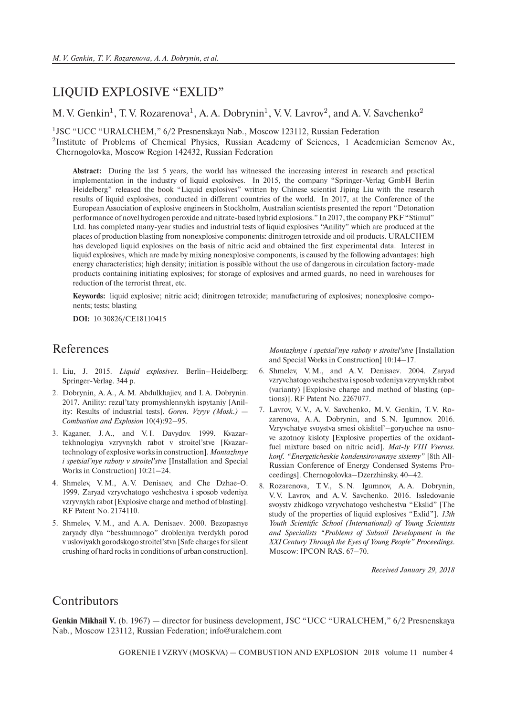## LIQUID EXPLOSIVE "EXLID"

## M. V. Genkin<sup>1</sup>, T. V. Rozarenova<sup>1</sup>, A. A. Dobrynin<sup>1</sup>, V. V. Lavrov<sup>2</sup>, and A. V. Savchenko<sup>2</sup>

<sup>1</sup>JSC "UCC "URALCHEM," 6/2 Presnenskaya Nab., Moscow 123112, Russian Federation

<sup>2</sup>Institute of Problems of Chemical Physics, Russian Academy of Sciences, 1 Academician Semenov Av., Chernogolovka, Moscow Region 142432, Russian Federation

**Abstract:** During the last 5 years, the world has witnessed the increasing interest in research and practical implementation in the industry of liquid explosives. In 2015, the company "Springer-Verlag GmbH Berlin Heidelberg" released the book "Liquid explosives" written by Chinese scientist Jiping Liu with the research results of liquid explosives, conducted in different countries of the world. In 2017, at the Conference of the European Association of explosive engineers in Stockholm, Australian scientists presented the report "Detonation performance of novel hydrogen peroxide and nitrate-based hybrid explosions." In 2017, the company PKF "Stimul" Ltd. has completed many-year studies and industrial tests of liquid explosives "Anility" which are produced at the places of production blasting from nonexplosive components: dinitrogen tetroxide and oil products. URALCHEM has developed liquid explosives on the basis of nitric acid and obtained the first experimental data. Interest in liquid explosives, which are made by mixing nonexplosive components, is caused by the following advantages: high energy characteristics; high density; initiation is possible without the use of dangerous in circulation factory-made products containing initiating explosives; for storage of explosives and armed guards, no need in warehouses for reduction of the terrorist threat, etc.

**Keywords:** liquid explosive; nitric acid; dinitrogen tetroxide; manufacturing of explosives; nonexplosive components; tests; blasting

**DOI:** 10.30826/CE18110415

## References

- 1. Liu, J. 2015. *Liquid explosives*. Berlin–Heidelberg: Springer-Verlag. 344 р.
- 2. Dobrynin, A. A., A. M. Abdulkhajiev, and I. A. Dobrynin. 2017. Anility: rezul'taty promyshlennykh ispytaniy [Anility: Results of industrial tests]. *Goren. Vzryv (Mosk.) — Combustion and Explosion* 10(4):92–95.
- 3. Kaganer, J. A., and V. I. Davydov. 1999. Kvazartekhnologiya vzryvnykh rabot v stroitel'stve [Kvazartechnology of explosive works in construction]. *Montazhnye i spetsial'nye raboty v stroitel'stve* [Installation and Special Works in Construction] 10:21–24.
- 4. Shmelev, V. M., A. V. Denisaev, and Che Dzhae-O. 1999. Zaryad vzryvchatogo veshchestva i sposob vedeniya vzryvnykh rabot [Explosive charge and method of blasting]. RF Patent No. 2174110.
- 5. Shmelev, V. M., and A. A. Denisaev. 2000. Bezopasnye zaryady dlya "besshumnogo" drobleniya tverdykh porod v usloviyakh gorodskogo stroitel'stva [Safe charges for silent crushing of hard rocks in conditions of urban construction].

*Montazhnye i spetsial'nye raboty v stroitel'stve* [Installation and Special Works in Construction] 10:14–17.

- 6. Shmelev, V. M., and A. V. Denisaev. 2004. Zaryad vzryvchatogo veshchestva i sposob vedeniya vzryvnykh rabot (varianty) [Explosive charge and method of blasting (options)]. RF Patent No. 2267077.
- 7. Lavrov, V. V., A. V. Savchenko, M. V. Genkin, T. V. Rozarenova, A.A. Dobrynin, and S.N. Igumnov. 2016. Vzryvchatye svoystva smesi okislitel'–goryuchee na osnove azotnoy kisloty [Explosive properties of the oxidantfuel mixture based on nitric acid]. *Mat-ly VIII Vseross. konf. "Energeticheskie kondensirovannye sistemy"* [8th All-Russian Conference of Energy Condensed Systems Proceedings]. Chernogolovka–Dzerzhinsky. 40–42.
- 8. Rozarenova, T.V., S.N. Igumnov, A.A. Dobrynin, V. V. Lavrov, and A. V. Savchenko. 2016. Issledovanie svoystv zhidkogo vzryvchatogo veshchestva "Ekslid" [The study of the properties of liquid explosives "Exlid"]. *13th Youth Scientific School (International) of Young Scientists and Specialists "Problems of Subsoil Development in the XXI Century Through the Eyes of Young People" Proceedings*. Moscow: IPCON RAS. 67–70.

*Received January 29, 2018*

## **Contributors**

**Genkin Mikhail V.** (b. 1967) — director for business development, JSC "UCC "URALCHEM," 6/2 Presnenskaya Nab., Moscow 123112, Russian Federation; info@uralchem.com

GORENIE I VZRYV (MOSKVA) — COMBUSTION AND EXPLOSION 2018 volume 11 number 4